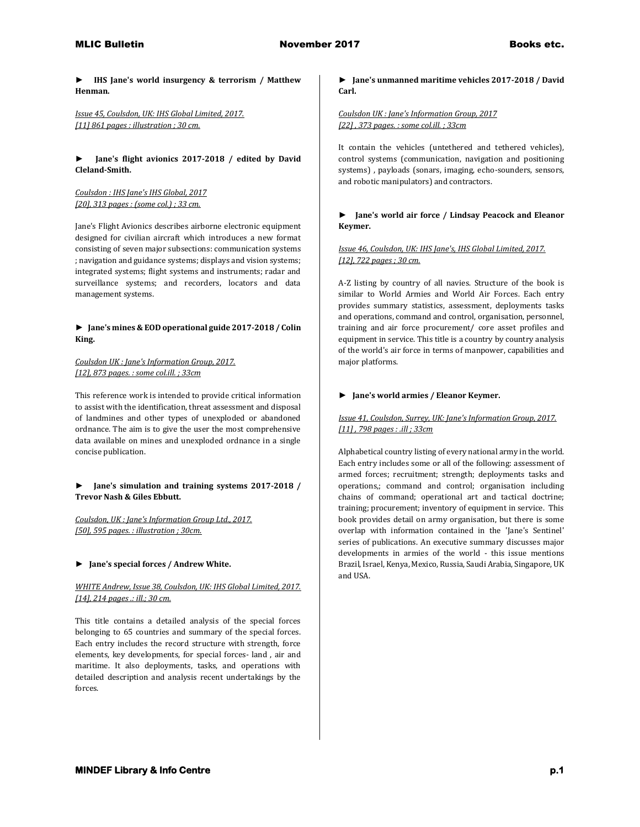**► IHS Jane's world insurgency & terrorism / Matthew Henman.**

*Issue 45, Coulsdon, UK: IHS Global Limited, 2017. [11] 861 pages : illustration ; 30 cm.* 

**► Jane's flight avionics 2017-2018 / edited by David Cleland-Smith.**

*Coulsdon : IHS Jane's IHS Global, 2017 [20], 313 pages : (some col.) ; 33 cm.*

Jane's Flight Avionics describes airborne electronic equipment designed for civilian aircraft which introduces a new format consisting of seven major subsections: communication systems ; navigation and guidance systems; displays and vision systems; integrated systems; flight systems and instruments; radar and surveillance systems; and recorders, locators and data management systems.

### **► Jane's mines & EOD operational guide 2017-2018 / Colin King.**

# *Coulsdon UK : Jane's Information Group, 2017. [12], 873 pages. : some col.ill. ; 33cm*

This reference work is intended to provide critical information to assist with the identification, threat assessment and disposal of landmines and other types of unexploded or abandoned ordnance. The aim is to give the user the most comprehensive data available on mines and unexploded ordnance in a single concise publication.

**► Jane's simulation and training systems 2017-2018 / Trevor Nash & Giles Ebbutt.**

*Coulsdon, UK : Jane's Information Group Ltd., 2017. [50], 595 pages. : illustration ; 30cm.* 

### **► Jane's special forces / Andrew White.**

### *WHITE Andrew, Issue 38, Coulsdon, UK: IHS Global Limited, 2017. [14], 214 pages .: ill.; 30 cm.*

This title contains a detailed analysis of the special forces belonging to 65 countries and summary of the special forces. Each entry includes the record structure with strength, force elements, key developments, for special forces- land , air and maritime. It also deployments, tasks, and operations with detailed description and analysis recent undertakings by the forces.

### **► Jane's unmanned maritime vehicles 2017-2018 / David Carl.**

## *Coulsdon UK : Jane's Information Group, 2017 [22] , 373 pages. : some col.ill. ; 33cm*

It contain the vehicles (untethered and tethered vehicles), control systems (communication, navigation and positioning systems) , payloads (sonars, imaging, echo-sounders, sensors, and robotic manipulators) and contractors.

### **► Jane's world air force / Lindsay Peacock and Eleanor Keymer.**

## *Issue 46, Coulsdon, UK: IHS Jane's, IHS Global Limited, 2017. [12], 722 pages ; 30 cm.*

A-Z listing by country of all navies. Structure of the book is similar to World Armies and World Air Forces. Each entry provides summary statistics, assessment, deployments tasks and operations, command and control, organisation, personnel, training and air force procurement/ core asset profiles and equipment in service. This title is a country by country analysis of the world's air force in terms of manpower, capabilities and major platforms.

### **► Jane's world armies / Eleanor Keymer.**

## *Issue 41, Coulsdon, Surrey, UK: Jane's Information Group, 2017. [11] , 798 pages : .ill ; 33cm*

Alphabetical country listing of every national army in the world. Each entry includes some or all of the following: assessment of armed forces; recruitment; strength; deployments tasks and operations,; command and control; organisation including chains of command; operational art and tactical doctrine; training; procurement; inventory of equipment in service. This book provides detail on army organisation, but there is some overlap with information contained in the 'Jane's Sentinel' series of publications. An executive summary discusses major developments in armies of the world - this issue mentions Brazil, Israel, Kenya, Mexico, Russia, Saudi Arabia, Singapore, UK and USA.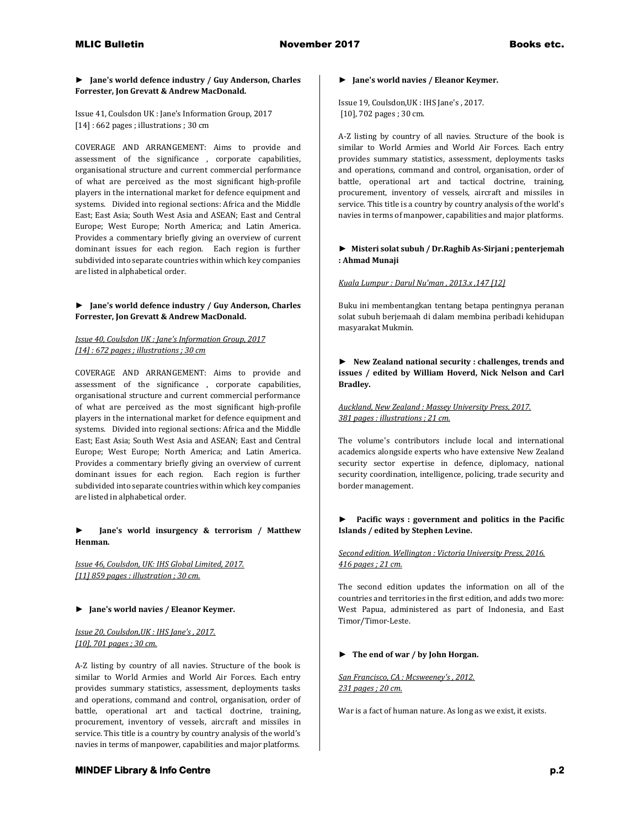#### **► Jane's world defence industry / Guy Anderson, Charles Forrester, Jon Grevatt & Andrew MacDonald.**

Issue 41, Coulsdon UK : Jane's Information Group, 2017 [14] : 662 pages ; illustrations ; 30 cm

COVERAGE AND ARRANGEMENT: Aims to provide and assessment of the significance , corporate capabilities, organisational structure and current commercial performance of what are perceived as the most significant high-profile players in the international market for defence equipment and systems. Divided into regional sections: Africa and the Middle East; East Asia; South West Asia and ASEAN; East and Central Europe; West Europe; North America; and Latin America. Provides a commentary briefly giving an overview of current dominant issues for each region. Each region is further subdivided into separate countries within which key companies are listed in alphabetical order.

### **► Jane's world defence industry / Guy Anderson, Charles Forrester, Jon Grevatt & Andrew MacDonald.**

#### *Issue 40, Coulsdon UK : Jane's Information Group, 2017 [14] : 672 pages ; illustrations ; 30 cm*

COVERAGE AND ARRANGEMENT: Aims to provide and assessment of the significance , corporate capabilities, organisational structure and current commercial performance of what are perceived as the most significant high-profile players in the international market for defence equipment and systems. Divided into regional sections: Africa and the Middle East; East Asia; South West Asia and ASEAN; East and Central Europe; West Europe; North America; and Latin America. Provides a commentary briefly giving an overview of current dominant issues for each region. Each region is further subdivided into separate countries within which key companies are listed in alphabetical order.

### **► Jane's world insurgency & terrorism / Matthew Henman.**

*Issue 46, Coulsdon, UK: IHS Global Limited, 2017. [11] 859 pages : illustration ; 30 cm.* 

### **► Jane's world navies / Eleanor Keymer.**

### *Issue 20, Coulsdon,UK : IHS Jane's , 2017. [10], 701 pages ; 30 cm.*

A-Z listing by country of all navies. Structure of the book is similar to World Armies and World Air Forces. Each entry provides summary statistics, assessment, deployments tasks and operations, command and control, organisation, order of battle, operational art and tactical doctrine, training, procurement, inventory of vessels, aircraft and missiles in service. This title is a country by country analysis of the world's navies in terms of manpower, capabilities and major platforms.

#### **► Jane's world navies / Eleanor Keymer.**

Issue 19, Coulsdon,UK : IHS Jane's , 2017. [10], 702 pages ; 30 cm.

A-Z listing by country of all navies. Structure of the book is similar to World Armies and World Air Forces. Each entry provides summary statistics, assessment, deployments tasks and operations, command and control, organisation, order of battle, operational art and tactical doctrine, training, procurement, inventory of vessels, aircraft and missiles in service. This title is a country by country analysis of the world's navies in terms of manpower, capabilities and major platforms.

#### **► Misteri solat subuh / Dr.Raghib As-Sirjani ; penterjemah : Ahmad Munaji**

#### *Kuala Lumpur : Darul Nu'man , 2013.x ,147 [12]*

Buku ini membentangkan tentang betapa pentingnya peranan solat subuh berjemaah di dalam membina peribadi kehidupan masyarakat Mukmin.

**► New Zealand national security : challenges, trends and issues / edited by William Hoverd, Nick Nelson and Carl Bradley.**

### *Auckland, New Zealand : Massey University Press, 2017. 381 pages : illustrations ; 21 cm.*

The volume's contributors include local and international academics alongside experts who have extensive New Zealand security sector expertise in defence, diplomacy, national security coordination, intelligence, policing, trade security and border management.

## **► Pacific ways : government and politics in the Pacific Islands / edited by Stephen Levine.**

### *Second edition. Wellington : Victoria University Press, 2016. 416 pages ; 21 cm.*

The second edition updates the information on all of the countries and territories in the first edition, and adds two more: West Papua, administered as part of Indonesia, and East Timor/Timor-Leste.

### **► The end of war / by John Horgan.**

*San Francisco, CA : Mcsweeney's , 2012. 231 pages ; 20 cm.*

War is a fact of human nature. As long as we exist, it exists.

# **MINDEF Library & Info Centre p.2**